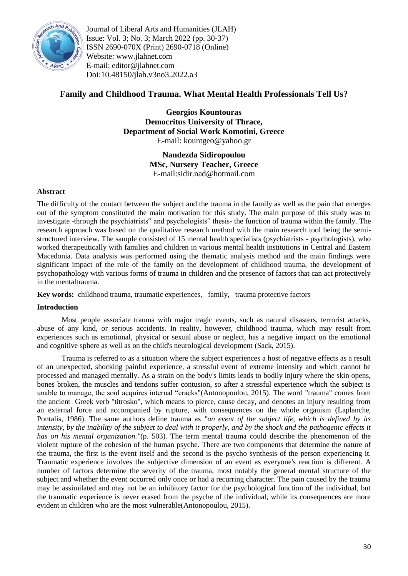

Journal of Liberal Arts and Humanities (JLAH) Issue: Vol. 3; No. 3; March 2022 (pp. 30-37) ISSN 2690-070X (Print) 2690-0718 (Online) Website: www.jlahnet.com E-mail: editor@jlahnet.com Doi:10.48150/jlah.v3no3.2022.a3

# **Family and Childhood Trauma. What Mental Health Professionals Tell Us?**

**Georgios Kountouras Democritus University of Thrace, Department of Social Work Komotini, Greece** E-mail: kountgeo@yahoo.gr

> **Nandezda Sidiropoulou MSc, Nursery Teacher, Greece** E-mail:sidir.nad@hotmail.com

# **Abstract**

The difficulty of the contact between the subject and the trauma in the family as well as the pain that emerges out of the symptom constituted the main motivation for this study. The main purpose of this study was to investigate -through the psychiatrists" and psychologists" thesis- the function of trauma within the family. The research approach was based on the qualitative research method with the main research tool being the semistructured interview. The sample consisted of 15 mental health specialists (psychiatrists - psychologists), who worked therapeutically with families and children in various mental health institutions in Central and Eastern Macedonia. Data analysis was performed using the thematic analysis method and the main findings were significant impact of the role of the family on the development of childhood trauma, the development of psychopathology with various forms of trauma in children and the presence of factors that can act protectively in the mentaltrauma.

**Key words:** childhood trauma, traumatic experiences, family, trauma protective factors

### **Introduction**

Most people associate trauma with major tragic events, such as natural disasters, terrorist attacks, abuse of any kind, or serious accidents. In reality, however, childhood trauma, which may result from experiences such as emotional, physical or sexual abuse or neglect, has a negative impact on the emotional and cognitive sphere as well as on the child's neurological development (Sack, 2015).

Trauma is referred to as a situation where the subject experiences a host of negative effects as a result of an unexpected, shocking painful experience, a stressful event of extreme intensity and which cannot be processed and managed mentally. As a strain on the body's limits leads to bodily injury where the skin opens, bones broken, the muscles and tendons suffer contusion, so after a stressful experience which the subject is unable to manage, the soul acquires internal "cracks"(Antonopoulou, 2015). The word "trauma" comes from the ancient Greek verb "titrosko", which means to pierce, cause decay, and denotes an injury resulting from an external force and accompanied by rupture, with consequences on the whole organism (Laplanche, Pontalis, 1986). The same authors define trauma as *"an event of the subject life, which is defined by its intensity, by the inability of the subject to deal with it properly, and by the shock and the pathogenic effects it has on his mental organization."*(p. 503). The term mental trauma could describe the phenomenon of the violent rupture of the cohesion of the human psyche. There are two components that determine the nature of the trauma, the first is the event itself and the second is the psycho synthesis of the person experiencing it. Traumatic experience involves the subjective dimension of an event as everyone's reaction is different. A number of factors determine the severity of the trauma, most notably the general mental structure of the subject and whether the event occurred only once or had a recurring character. The pain caused by the trauma may be assimilated and may not be an inhibitory factor for the psychological function of the individual, but the traumatic experience is never erased from the psyche of the individual, while its consequences are more evident in children who are the most vulnerable(Antonopoulou, 2015).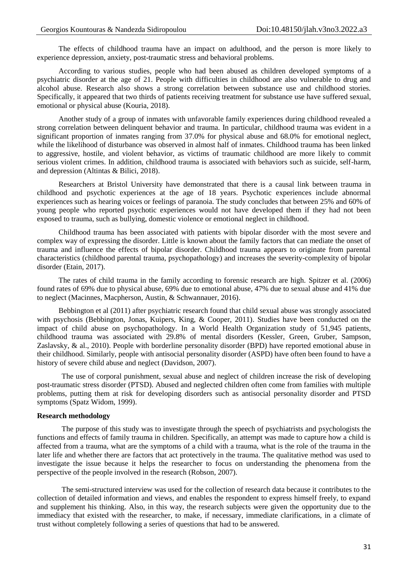The effects of childhood trauma have an impact on adulthood, and the person is more likely to experience depression, anxiety, post-traumatic stress and behavioral problems.

According to various studies, people who had been abused as children developed symptoms of a psychiatric disorder at the age of 21. People with difficulties in childhood are also vulnerable to drug and alcohol abuse. Research also shows a strong correlation between substance use and childhood stories. Specifically, it appeared that two thirds of patients receiving treatment for substance use have suffered sexual, emotional or physical abuse (Kouria, 2018).

Another study of a group of inmates with unfavorable family experiences during childhood revealed a strong correlation between delinquent behavior and trauma. In particular, childhood trauma was evident in a significant proportion of inmates ranging from 37.0% for physical abuse and 68.0% for emotional neglect, while the likelihood of disturbance was observed in almost half of inmates. Childhood trauma has been linked to aggressive, hostile, and violent behavior, as victims of traumatic childhood are more likely to commit serious violent crimes. In addition, childhood trauma is associated with behaviors such as suicide, self-harm, and depression (Altintas & Bilici, 2018).

Researchers at Bristol University have demonstrated that there is a causal link between trauma in childhood and psychotic experiences at the age of 18 years. Psychotic experiences include abnormal experiences such as hearing voices or feelings of paranoia. The study concludes that between 25% and 60% of young people who reported psychotic experiences would not have developed them if they had not been exposed to trauma, such as bullying, domestic violence or emotional neglect in childhood.

Childhood trauma has been associated with patients with bipolar disorder with the most severe and complex way of expressing the disorder. Little is known about the family factors that can mediate the onset of trauma and influence the effects of bipolar disorder. Childhood trauma appears to originate from parental characteristics (childhood parental trauma, psychopathology) and increases the severity-complexity of bipolar disorder (Etain, 2017).

The rates of child trauma in the family according to forensic research are high. Spitzer et al. (2006) found rates of 69% due to physical abuse, 69% due to emotional abuse, 47% due to sexual abuse and 41% due to neglect (Macinnes, Macpherson, Austin, & Schwannauer, 2016).

Bebbington et al (2011) after psychiatric research found that child sexual abuse was strongly associated with psychosis (Bebbington, Jonas, Kuipers, King, & Cooper, 2011). Studies have been conducted on the impact of child abuse on psychopathology. In a World Health Organization study of 51,945 patients, childhood trauma was associated with 29.8% of mental disorders (Kessler, Green, Gruber, Sampson, Zaslavsky, & al., 2010). People with borderline personality disorder (BPD) have reported emotional abuse in their childhood. Similarly, people with antisocial personality disorder (ASPD) have often been found to have a history of severe child abuse and neglect (Davidson, 2007).

The use of corporal punishment, sexual abuse and neglect of children increase the risk of developing post-traumatic stress disorder (PTSD). Abused and neglected children often come from families with multiple problems, putting them at risk for developing disorders such as antisocial personality disorder and PTSD symptoms (Spatz Widom, 1999).

#### **Research methodology**

The purpose of this study was to investigate through the speech of psychiatrists and psychologists the functions and effects of family trauma in children. Specifically, an attempt was made to capture how a child is affected from a trauma, what are the symptoms of a child with a trauma, what is the role of the trauma in the later life and whether there are factors that act protectively in the trauma. The qualitative method was used to investigate the issue because it helps the researcher to focus on understanding the phenomena from the perspective of the people involved in the research (Robson, 2007).

The semi-structured interview was used for the collection of research data because it contributes to the collection of detailed information and views, and enables the respondent to express himself freely, to expand and supplement his thinking. Also, in this way, the research subjects were given the opportunity due to the immediacy that existed with the researcher, to make, if necessary, immediate clarifications, in a climate of trust without completely following a series of questions that had to be answered.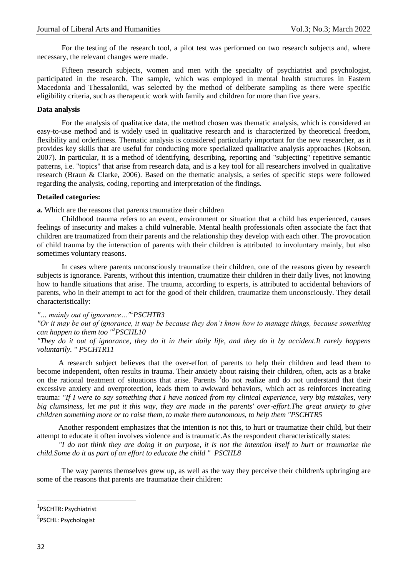For the testing of the research tool, a pilot test was performed on two research subjects and, where necessary, the relevant changes were made.

Fifteen research subjects, women and men with the specialty of psychiatrist and psychologist, participated in the research. The sample, which was employed in mental health structures in Eastern Macedonia and Thessaloniki, was selected by the method of deliberate sampling as there were specific eligibility criteria, such as therapeutic work with family and children for more than five years.

### **Data analysis**

For the analysis of qualitative data, the method chosen was thematic analysis, which is considered an easy-to-use method and is widely used in qualitative research and is characterized by theoretical freedom, flexibility and orderliness. Thematic analysis is considered particularly important for the new researcher, as it provides key skills that are useful for conducting more specialized qualitative analysis approaches (Robson, 2007). In particular, it is a method of identifying, describing, reporting and "subjecting" repetitive semantic patterns, i.e. "topics" that arise from research data, and is a key tool for all researchers involved in qualitative research (Braun & Clarke, 2006). Based on the thematic analysis, a series of specific steps were followed regarding the analysis, coding, reporting and interpretation of the findings.

#### **Detailed categories:**

**a.** Which are the reasons that parents traumatize their children

Childhood trauma refers to an event, environment or situation that a child has experienced, causes feelings of insecurity and makes a child vulnerable. Mental health professionals often associate the fact that children are traumatized from their parents and the relationship they develop with each other. The provocation of child trauma by the interaction of parents with their children is attributed to involuntary mainly, but also sometimes voluntary reasons.

In cases where parents unconsciously traumatize their children, one of the reasons given by research subjects is ignorance. Parents, without this intention, traumatize their children in their daily lives, not knowing how to handle situations that arise. The trauma, according to experts, is attributed to accidental behaviors of parents, who in their attempt to act for the good of their children, traumatize them unconsciously. They detail characteristically:

# *"… mainly out of ignorance…"*<sup>1</sup>*PSCHTR3*

## *"Or it may be out of ignorance, it may be because they don't know how to manage things, because something can happen to them too "*<sup>2</sup>*PSCHL10*

*"They do it out of ignorance, they do it in their daily life, and they do it by accident.It rarely happens voluntarily. " PSCHTR11*

A research subject believes that the over-effort of parents to help their children and lead them to become independent, often results in trauma. Their anxiety about raising their children, often, acts as a brake on the rational treatment of situations that arise. Parents <sup>1</sup>do not realize and do not understand that their excessive anxiety and overprotection, leads them to awkward behaviors, which act as reinforces increating trauma: *"If I were to say something that I have noticed from my clinical experience, very big mistakes, very big clumsiness, let me put it this way, they are made in the parents' over-effort.The great anxiety to give children something more or to raise them, to make them autonomous, to help them "PSCHTR5*

Another respondent emphasizes that the intention is not this, to hurt or traumatize their child, but their attempt to educate it often involves violence and is traumatic.As the respondent characteristically states:

*"I do not think they are doing it on purpose, it is not the intention itself to hurt or traumatize the child.Some do it as part of an effort to educate the child " PSCHL8*

The way parents themselves grew up, as well as the way they perceive their children's upbringing are some of the reasons that parents are traumatize their children:

1

<sup>1</sup> PSCHTR: Psychiatrist

 $^{2}$ PSCHL: Psychologist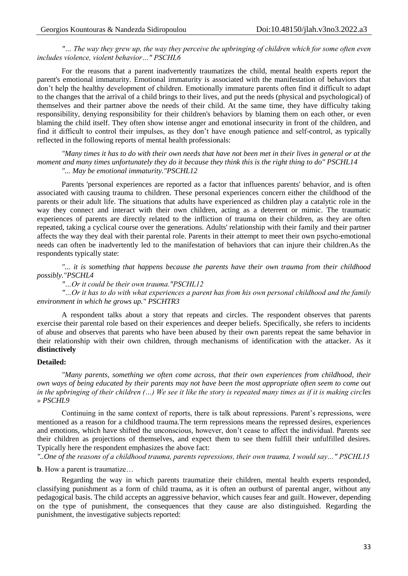*"… The way they grew up, the way they perceive the upbringing of children which for some often even includes violence, violent behavior…" PSCHL6*

For the reasons that a parent inadvertently traumatizes the child, mental health experts report the parent's emotional immaturity. Emotional immaturity is associated with the manifestation of behaviors that don't help the healthy development of children. Emotionally immature parents often find it difficult to adapt to the changes that the arrival of a child brings to their lives, and put the needs (physical and psychological) of themselves and their partner above the needs of their child. At the same time, they have difficulty taking responsibility, denying responsibility for their children's behaviors by blaming them on each other, or even blaming the child itself. They often show intense anger and emotional insecurity in front of the children, and find it difficult to control their impulses, as they don't have enough patience and self-control, as typically reflected in the following reports of mental health professionals:

*"Many times it has to do with their own needs that have not been met in their lives in general or at the moment and many times unfortunately they do it because they think this is the right thing to do" PSCHL14 "... May be emotional immaturity."PSCHL12*

Parents 'personal experiences are reported as a factor that influences parents' behavior, and is often associated with causing trauma to children. These personal experiences concern either the childhood of the parents or their adult life. The situations that adults have experienced as children play a catalytic role in the way they connect and interact with their own children, acting as a deterrent or mimic. The traumatic experiences of parents are directly related to the infliction of trauma on their children, as they are often repeated, taking a cyclical course over the generations. Adults' relationship with their family and their partner affects the way they deal with their parental role. Parents in their attempt to meet their own psycho-emotional needs can often be inadvertently led to the manifestation of behaviors that can injure their children.As the respondents typically state:

*"... it is something that happens because the parents have their own trauma from their childhood possibly."PSCHL4*

*"…Or it could be their own trauma."PSCHL12*

*"…Or it has to do with what experiences a parent has from his own personal childhood and the family environment in which he grows up." PSCHTR3*

A respondent talks about a story that repeats and circles. The respondent observes that parents exercise their parental role based on their experiences and deeper beliefs. Specifically, she refers to incidents of abuse and observes that parents who have been abused by their own parents repeat the same behavior in their relationship with their own children, through mechanisms of identification with the attacker. As it **distinctively** 

#### **Detailed:**

*"Many parents, something we often come across, that their own experiences from childhood, their own ways of being educated by their parents may not have been the most appropriate often seem to come out in the upbringing of their children (…) We see it like the story is repeated many times as if it is making circles » PSCHL9*

Continuing in the same context of reports, there is talk about repressions. Parent's repressions, were mentioned as a reason for a childhood trauma.The term repressions means the repressed desires, experiences and emotions, which have shifted the unconscious, however, don't cease to affect the individual. Parents see their children as projections of themselves, and expect them to see them fulfill their unfulfilled desires. Typically here the respondent emphasizes the above fact:

*"..One of the reasons of a childhood trauma, parents repressions, their own trauma, I would say…" PSCHL15*

**b**. How a parent is traumatize…

Regarding the way in which parents traumatize their children, mental health experts responded, classifying punishment as a form of child trauma, as it is often an outburst of parental anger, without any pedagogical basis. The child accepts an aggressive behavior, which causes fear and guilt. However, depending on the type of punishment, the consequences that they cause are also distinguished. Regarding the punishment, the investigative subjects reported: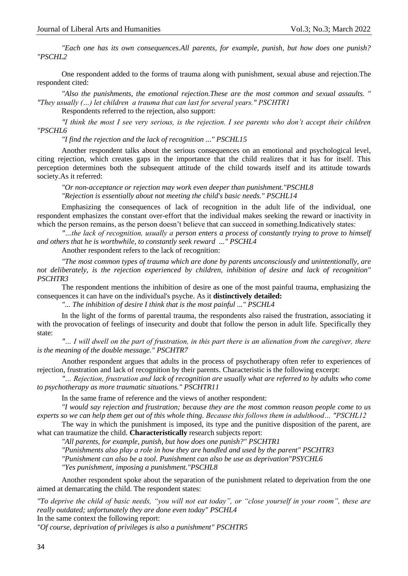*"Each one has its own consequences.All parents, for example, punish, but how does one punish? "PSCHL2*

One respondent added to the forms of trauma along with punishment, sexual abuse and rejection.The respondent cited:

*"Also the punishments, the emotional rejection.These are the most common and sexual assaults. " "They usually (…) let children a trauma that can last for several years." PSCHTR1*

Respondents referred to the rejection, also support:

*"I think the most I see very serious, is the rejection. I see parents who don't accept their children "PSCHL6*

*"I find the rejection and the lack of recognition ..." PSCHL15*

Another respondent talks about the serious consequences on an emotional and psychological level, citing rejection, which creates gaps in the importance that the child realizes that it has for itself. This perception determines both the subsequent attitude of the child towards itself and its attitude towards society.As it referred:

*"Or non-acceptance or rejection may work even deeper than punishment."PSCHL8 "Rejection is essentially about not meeting the child's basic needs." PSCHL14*

Emphasizing the consequences of lack of recognition in the adult life of the individual, one respondent emphasizes the constant over-effort that the individual makes seeking the reward or inactivity in which the person remains, as the person doesn't believe that can succeed in something.Indicatively states:

*"…the lack of recognition, usually a person enters a process of constantly trying to prove to himself and others that he is worthwhile, to constantly seek reward ..." PSCHL4*

Another respondent refers to the lack of recognition:

*"The most common types of trauma which are done by parents unconsciously and unintentionally, are not deliberately, is the rejection experienced by children, inhibition of desire and lack of recognition" PSCHTR3*

The respondent mentions the inhibition of desire as one of the most painful trauma, emphasizing the consequences it can have on the individual's psyche. As it **distinctively detailed:**

*"... The inhibition of desire I think that is the most painful ..." PSCHL4*

In the light of the forms of parental trauma, the respondents also raised the frustration, associating it with the provocation of feelings of insecurity and doubt that follow the person in adult life. Specifically they state:

*"… I will dwell on the part of frustration, in this part there is an alienation from the caregiver, there is the meaning of the double message." PSCHTR7*

Another respondent argues that adults in the process of psychotherapy often refer to experiences of rejection, frustration and lack of recognition by their parents. Characteristic is the following excerpt:

*"… Rejection, frustration and lack of recognition are usually what are referred to by adults who come to psychotherapy as more traumatic situations." PSCHTR11*

In the same frame of reference and the views of another respondent:

*"I would say rejection and frustration; because they are the most common reason people come to us experts so we can help them get out of this whole thing. Because this follows them in adulthood… "PSCHL12*

The way in which the punishment is imposed, its type and the punitive disposition of the parent, are what can traumatize the child. **Characteristically** research subjects report:

*"All parents, for example, punish, but how does one punish?" PSCHTR1*

*"Punishments also play a role in how they are handled and used by the parent" PSCHTR3*

*"Punishment can also be a tool. Punishment can also be use as deprivation"PSYCHL6*

*"Yes punishment, imposing a punishment."PSCHL8*

Another respondent spoke about the separation of the punishment related to deprivation from the one aimed at demarcating the child. The respondent states:

*"To deprive the child of basic needs, "you will not eat today", or "close yourself in your room", these are really outdated; unfortunately they are done even today" PSCHL4* In the same context the following report:

*"Of course, deprivation of privileges is also a punishment" PSCHTR5*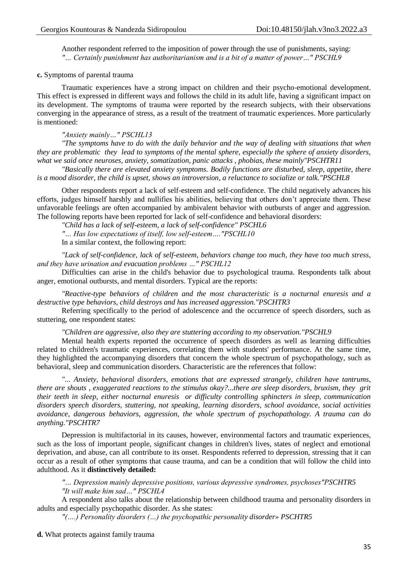Another respondent referred to the imposition of power through the use of punishments, saying: *"… Certainly punishment has authoritarianism and is a bit of a matter of power…" PSCHL9*

#### **c.** Symptoms of parental trauma

Traumatic experiences have a strong impact on children and their psycho-emotional development. This effect is expressed in different ways and follows the child in its adult life, having a significant impact on its development. The symptoms of trauma were reported by the research subjects, with their observations converging in the appearance of stress, as a result of the treatment of traumatic experiences. More particularly is mentioned:

#### *"Anxiety mainly…" PSCHL13*

*"The symptoms have to do with the daily behavior and the way of dealing with situations that when they are problematic they lead to symptoms of the mental sphere, especially the sphere of anxiety disorders, what we said once neuroses, anxiety, somatization, panic attacks , phobias, these mainly"PSCHTR11*

*"Basically there are elevated anxiety symptoms. Bodily functions are disturbed, sleep, appetite, there is a mood disorder, the child is upset, shows an introversion, a reluctance to socialize or talk."PSCHL8*

Other respondents report a lack of self-esteem and self-confidence. The child negatively advances his efforts, judges himself harshly and nullifies his abilities, believing that others don't appreciate them. These unfavorable feelings are often accompanied by ambivalent behavior with outbursts of anger and aggression. The following reports have been reported for lack of self-confidence and behavioral disorders:

*"Child has a lack of self-esteem, a lack of self-confidence" PSCHL6*

*"… Has low expectations of itself, low self-esteem…."PSCHL10*

In a similar context, the following report:

*"Lack of self-confidence, lack of self-esteem, behaviors change too much, they have too much stress, and they have urinatiοn and evacuation problems …" PSCHL12*

Difficulties can arise in the child's behavior due to psychological trauma. Respondents talk about anger, emotional outbursts, and mental disorders. Typical are the reports:

*"Reactive-type behaviors of children and the most characteristic is a nocturnal enuresis and a destructive type behaviors, child destroys and has increased aggression."PSCHTR3*

Referring specifically to the period of adolescence and the occurrence of speech disorders, such as stuttering, one respondent states:

*"Children are aggressive, also they are stuttering according to my observation."PSCHL9*

Mental health experts reported the occurrence of speech disorders as well as learning difficulties related to children's traumatic experiences, correlating them with students' performance. At the same time, they highlighted the accompanying disorders that concern the whole spectrum of psychopathology, such as behavioral, sleep and communication disorders. Characteristic are the references that follow:

*"... Anxiety, behavioral disorders, emotions that are expressed strangely, children have tantrums, there are shouts , exaggerated reactions to the stimulus okay?...there are sleep disorders, bruxism, they grit their teeth in sleep, either nocturnal enuresis or difficulty controlling sphincters in sleep, communication disorders speech disorders, stuttering, not speaking, learning disorders, school avoidance, social activities avoidance, dangerous behaviors, aggression, the whole spectrum of psychopathology. A trauma can do anything."PSCHTR7*

Depression is multifactorial in its causes, however, environmental factors and traumatic experiences, such as the loss of important people, significant changes in children's lives, states of neglect and emotional deprivation, and abuse, can all contribute to its onset. Respondents referred to depression, stressing that it can occur as a result of other symptoms that cause trauma, and can be a condition that will follow the child into adulthood. As it **distinctively detailed:**

*"… Depression mainly depressive positions, various depressive syndromes, psychoses"PSCHTR5 "It will make him sad…" PSCHL4*

A respondent also talks about the relationship between childhood trauma and personality disorders in adults and especially psychopathic disorder. As she states:

*"(….) Personality disorders (…) the psychopathic personality disorder» PSCHTR5*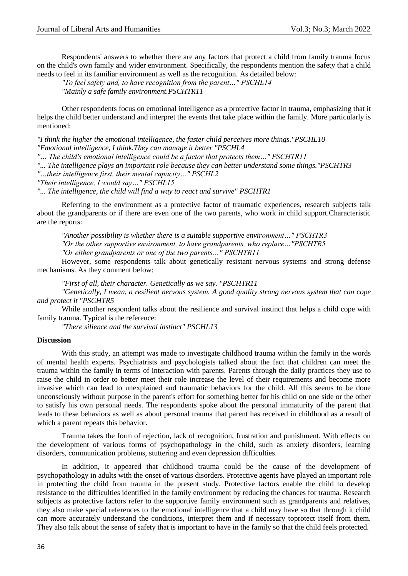Respondents' answers to whether there are any factors that protect a child from family trauma focus on the child's own family and wider environment. Specifically, the respondents mention the safety that a child needs to feel in its familiar environment as well as the recognition. As detailed below:

*"To feel safety and, to have recognition from the parent…" PSCHL14*

*"Mainly a safe family environment.PSCHTR11*

Other respondents focus on emotional intelligence as a protective factor in trauma, emphasizing that it helps the child better understand and interpret the events that take place within the family. More particularly is mentioned:

*"I think the higher the emotional intelligence, the faster child perceives more things."PSCHL10 "Emotional intelligence, I think.They can manage it better "PSCHL4*

*"… The child's emotional intelligence could be a factor that protects them…" PSCHTR11*

*"... The intelligence plays an important role because they can better understand some things."PSCHTR3*

*"…their intelligence first, their mental capacity…" PSCHL2*

*"Their intelligence, I would say…" PSCHL15*

*"... The intelligence, the child will find a way to react and survive" PSCHTR1*

Referring to the environment as a protective factor of traumatic experiences, research subjects talk about the grandparents or if there are even one of the two parents, who work in child support.Characteristic are the reports:

*"Another possibility is whether there is a suitable supportive environment…" PSCHTR3 "Or the other supportive environment, to have grandparents, who replace…"PSCHTR5 "Or either grandparents or one of the two parents…" PSCHTR11*

However, some respondents talk about genetically resistant nervous systems and strong defense mechanisms. As they comment below:

*"First of all, their character. Genetically as we say. "PSCHTR11*

*"Genetically, I mean, a resilient nervous system. A good quality strong nervous system that can cope and protect it "PSCHTR5*

While another respondent talks about the resilience and survival instinct that helps a child cope with family trauma. Typical is the reference:

*"There silience and the survival instinct" PSCHL13*

#### **Discussion**

With this study, an attempt was made to investigate childhood trauma within the family in the words of mental health experts. Psychiatrists and psychologists talked about the fact that children can meet the trauma within the family in terms of interaction with parents. Parents through the daily practices they use to raise the child in order to better meet their role increase the level of their requirements and become more invasive which can lead to unexplained and traumatic behaviors for the child. All this seems to be done unconsciously without purpose in the parent's effort for something better for his child on one side or the other to satisfy his own personal needs. The respondents spoke about the personal immaturity of the parent that leads to these behaviors as well as about personal trauma that parent has received in childhood as a result of which a parent repeats this behavior.

Trauma takes the form of rejection, lack of recognition, frustration and punishment. With effects on the development of various forms of psychopathology in the child, such as anxiety disorders, learning disorders, communication problems, stuttering and even depression difficulties.

In addition, it appeared that childhood trauma could be the cause of the development of psychopathology in adults with the onset of various disorders. Protective agents have played an important role in protecting the child from trauma in the present study. Protective factors enable the child to develop resistance to the difficulties identified in the family environment by reducing the chances for trauma. Research subjects as protective factors refer to the supportive family environment such as grandparents and relatives, they also make special references to the emotional intelligence that a child may have so that through it child can more accurately understand the conditions, interpret them and if necessary toprotect itself from them. They also talk about the sense of safety that is important to have in the family so that the child feels protected.